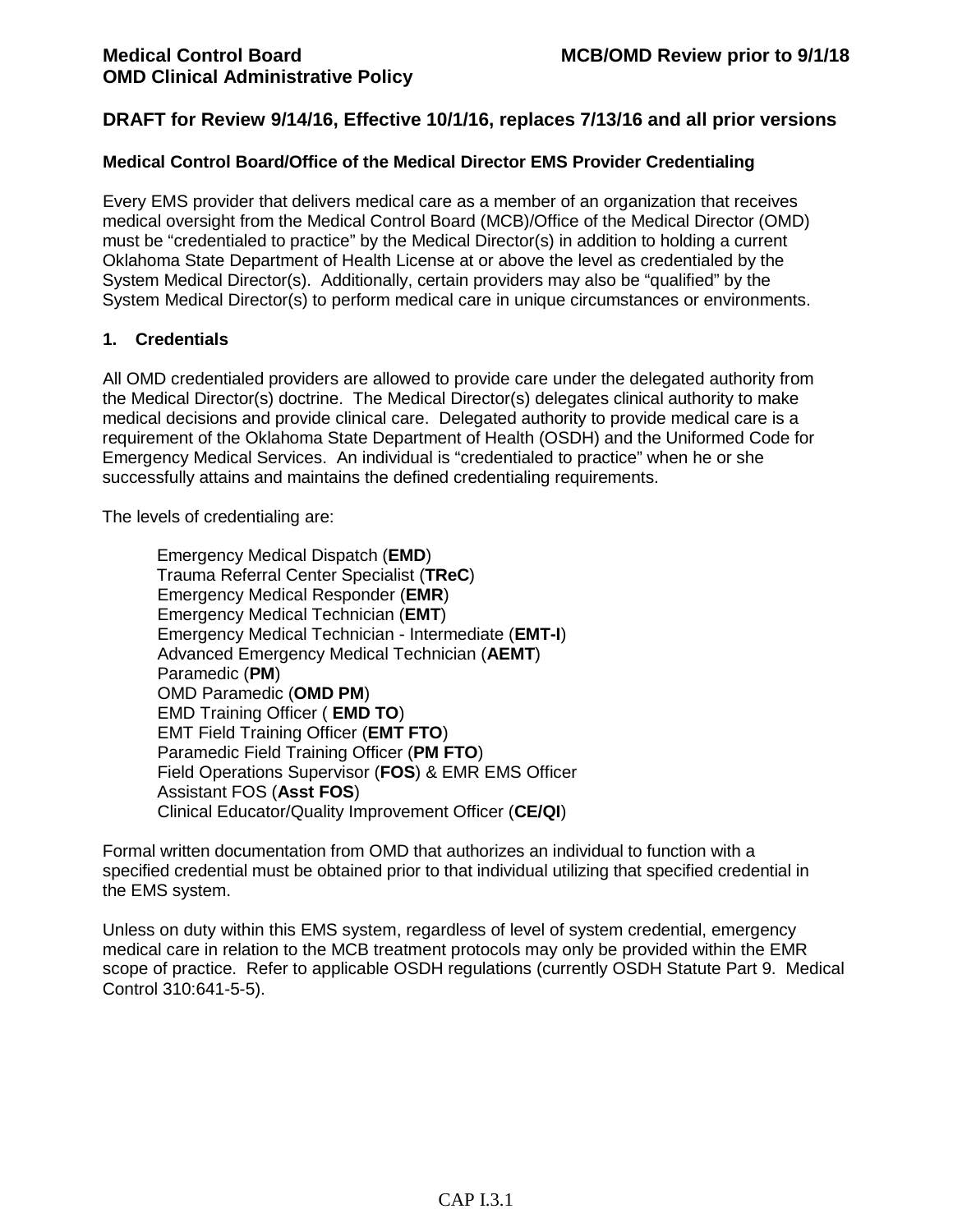### **Medical Control Board/Office of the Medical Director EMS Provider Credentialing**

Every EMS provider that delivers medical care as a member of an organization that receives medical oversight from the Medical Control Board (MCB)/Office of the Medical Director (OMD) must be "credentialed to practice" by the Medical Director(s) in addition to holding a current Oklahoma State Department of Health License at or above the level as credentialed by the System Medical Director(s). Additionally, certain providers may also be "qualified" by the System Medical Director(s) to perform medical care in unique circumstances or environments.

### **1. Credentials**

All OMD credentialed providers are allowed to provide care under the delegated authority from the Medical Director(s) doctrine. The Medical Director(s) delegates clinical authority to make medical decisions and provide clinical care. Delegated authority to provide medical care is a requirement of the Oklahoma State Department of Health (OSDH) and the Uniformed Code for Emergency Medical Services. An individual is "credentialed to practice" when he or she successfully attains and maintains the defined credentialing requirements.

The levels of credentialing are:

Emergency Medical Dispatch (**EMD**) Trauma Referral Center Specialist (**TReC**) Emergency Medical Responder (**EMR**) Emergency Medical Technician (**EMT**) Emergency Medical Technician - Intermediate (**EMT-I**) Advanced Emergency Medical Technician (**AEMT**) Paramedic (**PM**) OMD Paramedic (**OMD PM**) EMD Training Officer ( **EMD TO**) EMT Field Training Officer (**EMT FTO**) Paramedic Field Training Officer (**PM FTO**) Field Operations Supervisor (**FOS**) & EMR EMS Officer Assistant FOS (**Asst FOS**) Clinical Educator/Quality Improvement Officer (**CE/QI**)

Formal written documentation from OMD that authorizes an individual to function with a specified credential must be obtained prior to that individual utilizing that specified credential in the EMS system.

Unless on duty within this EMS system, regardless of level of system credential, emergency medical care in relation to the MCB treatment protocols may only be provided within the EMR scope of practice. Refer to applicable OSDH regulations (currently OSDH Statute Part 9. Medical Control 310:641-5-5).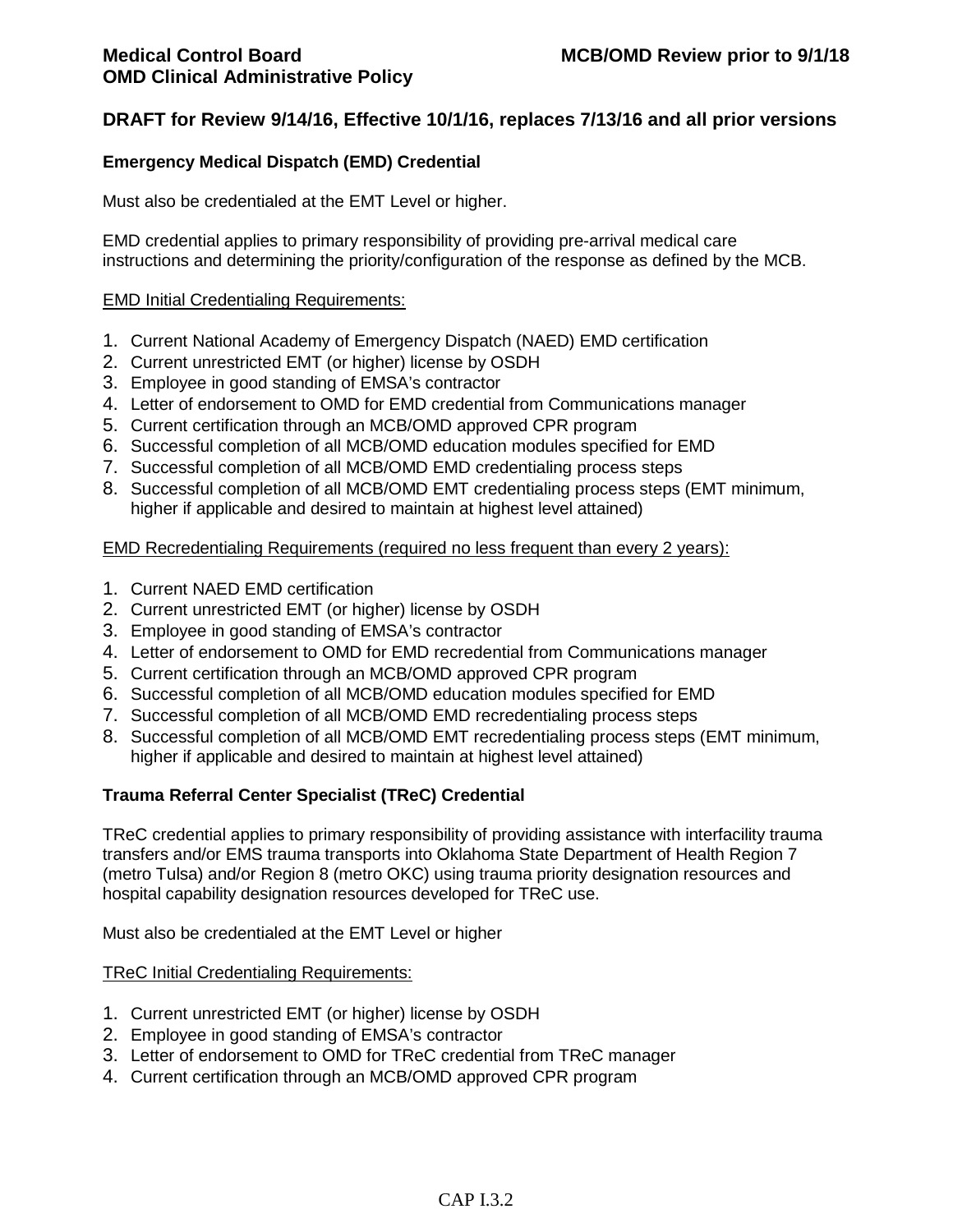## **Emergency Medical Dispatch (EMD) Credential**

Must also be credentialed at the EMT Level or higher.

EMD credential applies to primary responsibility of providing pre-arrival medical care instructions and determining the priority/configuration of the response as defined by the MCB.

### EMD Initial Credentialing Requirements:

- 1. Current National Academy of Emergency Dispatch (NAED) EMD certification
- 2. Current unrestricted EMT (or higher) license by OSDH
- 3. Employee in good standing of EMSA's contractor
- 4. Letter of endorsement to OMD for EMD credential from Communications manager
- 5. Current certification through an MCB/OMD approved CPR program
- 6. Successful completion of all MCB/OMD education modules specified for EMD
- 7. Successful completion of all MCB/OMD EMD credentialing process steps
- 8. Successful completion of all MCB/OMD EMT credentialing process steps (EMT minimum, higher if applicable and desired to maintain at highest level attained)

EMD Recredentialing Requirements (required no less frequent than every 2 years):

- 1. Current NAED EMD certification
- 2. Current unrestricted EMT (or higher) license by OSDH
- 3. Employee in good standing of EMSA's contractor
- 4. Letter of endorsement to OMD for EMD recredential from Communications manager
- 5. Current certification through an MCB/OMD approved CPR program
- 6. Successful completion of all MCB/OMD education modules specified for EMD
- 7. Successful completion of all MCB/OMD EMD recredentialing process steps
- 8. Successful completion of all MCB/OMD EMT recredentialing process steps (EMT minimum, higher if applicable and desired to maintain at highest level attained)

## **Trauma Referral Center Specialist (TReC) Credential**

TReC credential applies to primary responsibility of providing assistance with interfacility trauma transfers and/or EMS trauma transports into Oklahoma State Department of Health Region 7 (metro Tulsa) and/or Region 8 (metro OKC) using trauma priority designation resources and hospital capability designation resources developed for TReC use.

Must also be credentialed at the EMT Level or higher

#### TReC Initial Credentialing Requirements:

- 1. Current unrestricted EMT (or higher) license by OSDH
- 2. Employee in good standing of EMSA's contractor
- 3. Letter of endorsement to OMD for TReC credential from TReC manager
- 4. Current certification through an MCB/OMD approved CPR program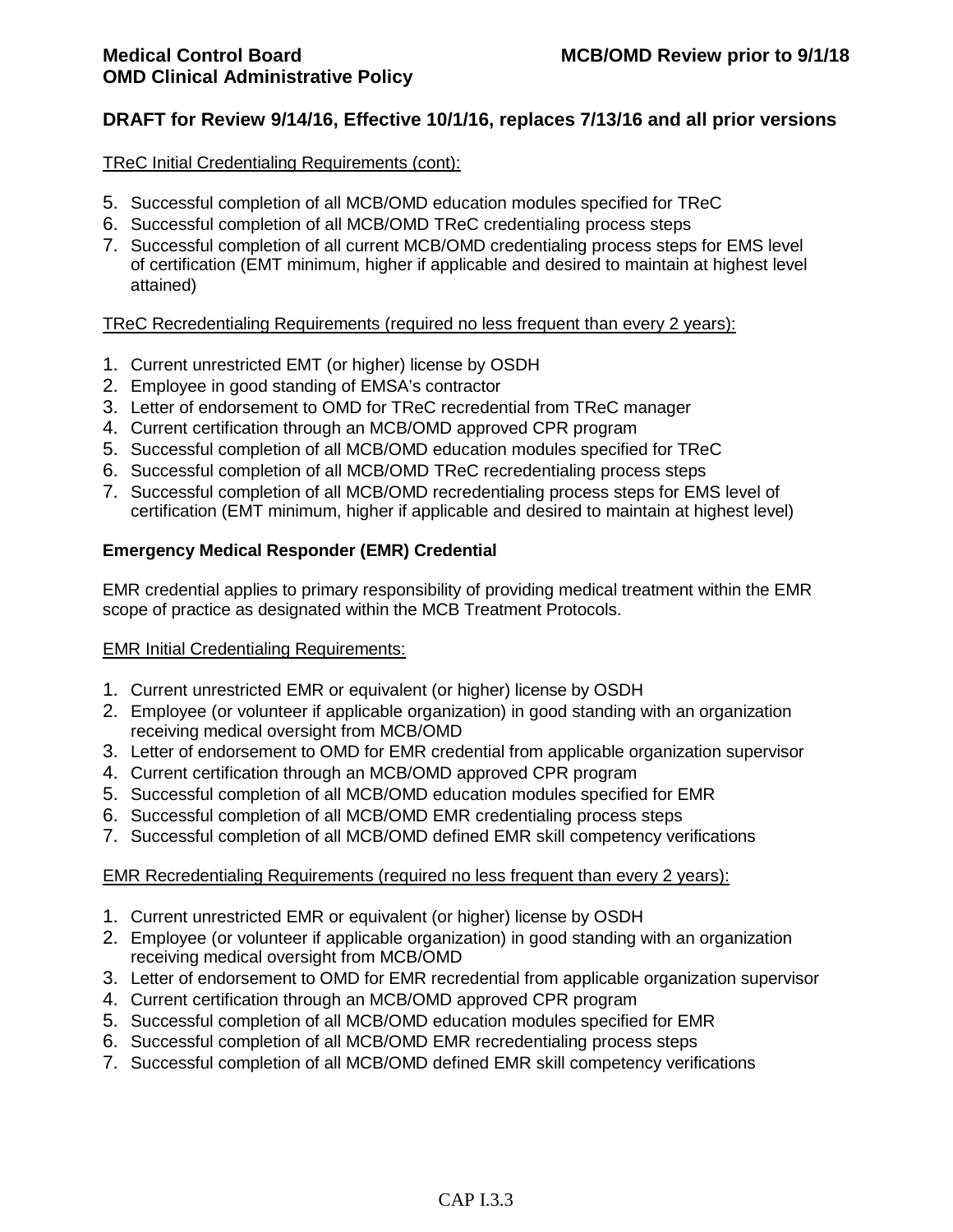### TReC Initial Credentialing Requirements (cont):

- 5. Successful completion of all MCB/OMD education modules specified for TReC
- 6. Successful completion of all MCB/OMD TReC credentialing process steps
- 7. Successful completion of all current MCB/OMD credentialing process steps for EMS level of certification (EMT minimum, higher if applicable and desired to maintain at highest level attained)

## TReC Recredentialing Requirements (required no less frequent than every 2 years):

- 1. Current unrestricted EMT (or higher) license by OSDH
- 2. Employee in good standing of EMSA's contractor
- 3. Letter of endorsement to OMD for TReC recredential from TReC manager
- 4. Current certification through an MCB/OMD approved CPR program
- 5. Successful completion of all MCB/OMD education modules specified for TReC
- 6. Successful completion of all MCB/OMD TReC recredentialing process steps
- 7. Successful completion of all MCB/OMD recredentialing process steps for EMS level of certification (EMT minimum, higher if applicable and desired to maintain at highest level)

## **Emergency Medical Responder (EMR) Credential**

EMR credential applies to primary responsibility of providing medical treatment within the EMR scope of practice as designated within the MCB Treatment Protocols.

## EMR Initial Credentialing Requirements:

- 1. Current unrestricted EMR or equivalent (or higher) license by OSDH
- 2. Employee (or volunteer if applicable organization) in good standing with an organization receiving medical oversight from MCB/OMD
- 3. Letter of endorsement to OMD for EMR credential from applicable organization supervisor
- 4. Current certification through an MCB/OMD approved CPR program
- 5. Successful completion of all MCB/OMD education modules specified for EMR
- 6. Successful completion of all MCB/OMD EMR credentialing process steps
- 7. Successful completion of all MCB/OMD defined EMR skill competency verifications

## EMR Recredentialing Requirements (required no less frequent than every 2 years):

- 1. Current unrestricted EMR or equivalent (or higher) license by OSDH
- 2. Employee (or volunteer if applicable organization) in good standing with an organization receiving medical oversight from MCB/OMD
- 3. Letter of endorsement to OMD for EMR recredential from applicable organization supervisor
- 4. Current certification through an MCB/OMD approved CPR program
- 5. Successful completion of all MCB/OMD education modules specified for EMR
- 6. Successful completion of all MCB/OMD EMR recredentialing process steps
- 7. Successful completion of all MCB/OMD defined EMR skill competency verifications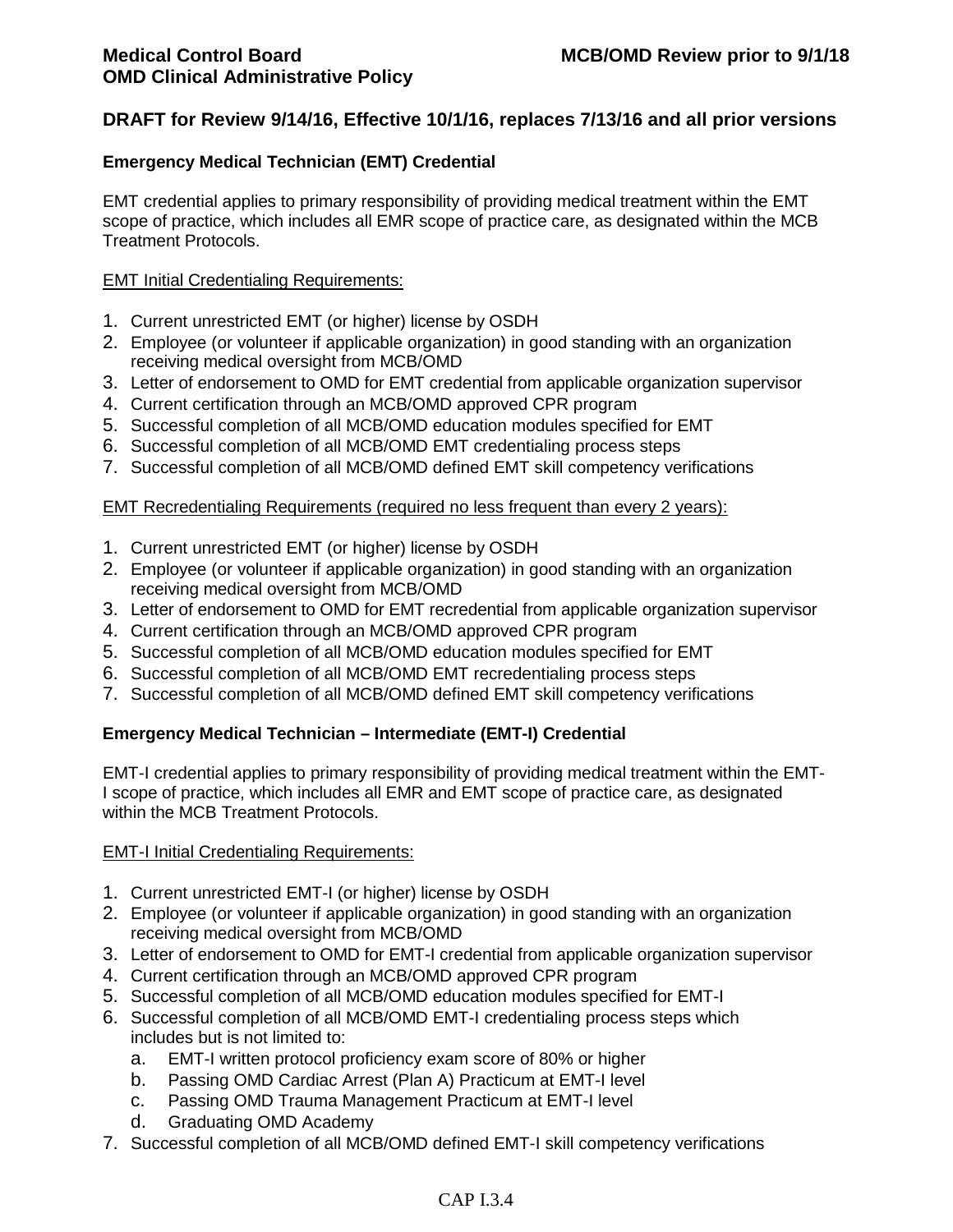### **Emergency Medical Technician (EMT) Credential**

EMT credential applies to primary responsibility of providing medical treatment within the EMT scope of practice, which includes all EMR scope of practice care, as designated within the MCB Treatment Protocols.

#### EMT Initial Credentialing Requirements:

- 1. Current unrestricted EMT (or higher) license by OSDH
- 2. Employee (or volunteer if applicable organization) in good standing with an organization receiving medical oversight from MCB/OMD
- 3. Letter of endorsement to OMD for EMT credential from applicable organization supervisor
- 4. Current certification through an MCB/OMD approved CPR program
- 5. Successful completion of all MCB/OMD education modules specified for EMT
- 6. Successful completion of all MCB/OMD EMT credentialing process steps
- 7. Successful completion of all MCB/OMD defined EMT skill competency verifications

### EMT Recredentialing Requirements (required no less frequent than every 2 years):

- 1. Current unrestricted EMT (or higher) license by OSDH
- 2. Employee (or volunteer if applicable organization) in good standing with an organization receiving medical oversight from MCB/OMD
- 3. Letter of endorsement to OMD for EMT recredential from applicable organization supervisor
- 4. Current certification through an MCB/OMD approved CPR program
- 5. Successful completion of all MCB/OMD education modules specified for EMT
- 6. Successful completion of all MCB/OMD EMT recredentialing process steps
- 7. Successful completion of all MCB/OMD defined EMT skill competency verifications

#### **Emergency Medical Technician – Intermediate (EMT-I) Credential**

EMT-I credential applies to primary responsibility of providing medical treatment within the EMT-I scope of practice, which includes all EMR and EMT scope of practice care, as designated within the MCB Treatment Protocols.

#### EMT-I Initial Credentialing Requirements:

- 1. Current unrestricted EMT-I (or higher) license by OSDH
- 2. Employee (or volunteer if applicable organization) in good standing with an organization receiving medical oversight from MCB/OMD
- 3. Letter of endorsement to OMD for EMT-I credential from applicable organization supervisor
- 4. Current certification through an MCB/OMD approved CPR program
- 5. Successful completion of all MCB/OMD education modules specified for EMT-I
- 6. Successful completion of all MCB/OMD EMT-I credentialing process steps which includes but is not limited to:
	- a. EMT-I written protocol proficiency exam score of 80% or higher
	- b. Passing OMD Cardiac Arrest (Plan A) Practicum at EMT-I level
	- c. Passing OMD Trauma Management Practicum at EMT-I level
	- d. Graduating OMD Academy
- 7. Successful completion of all MCB/OMD defined EMT-I skill competency verifications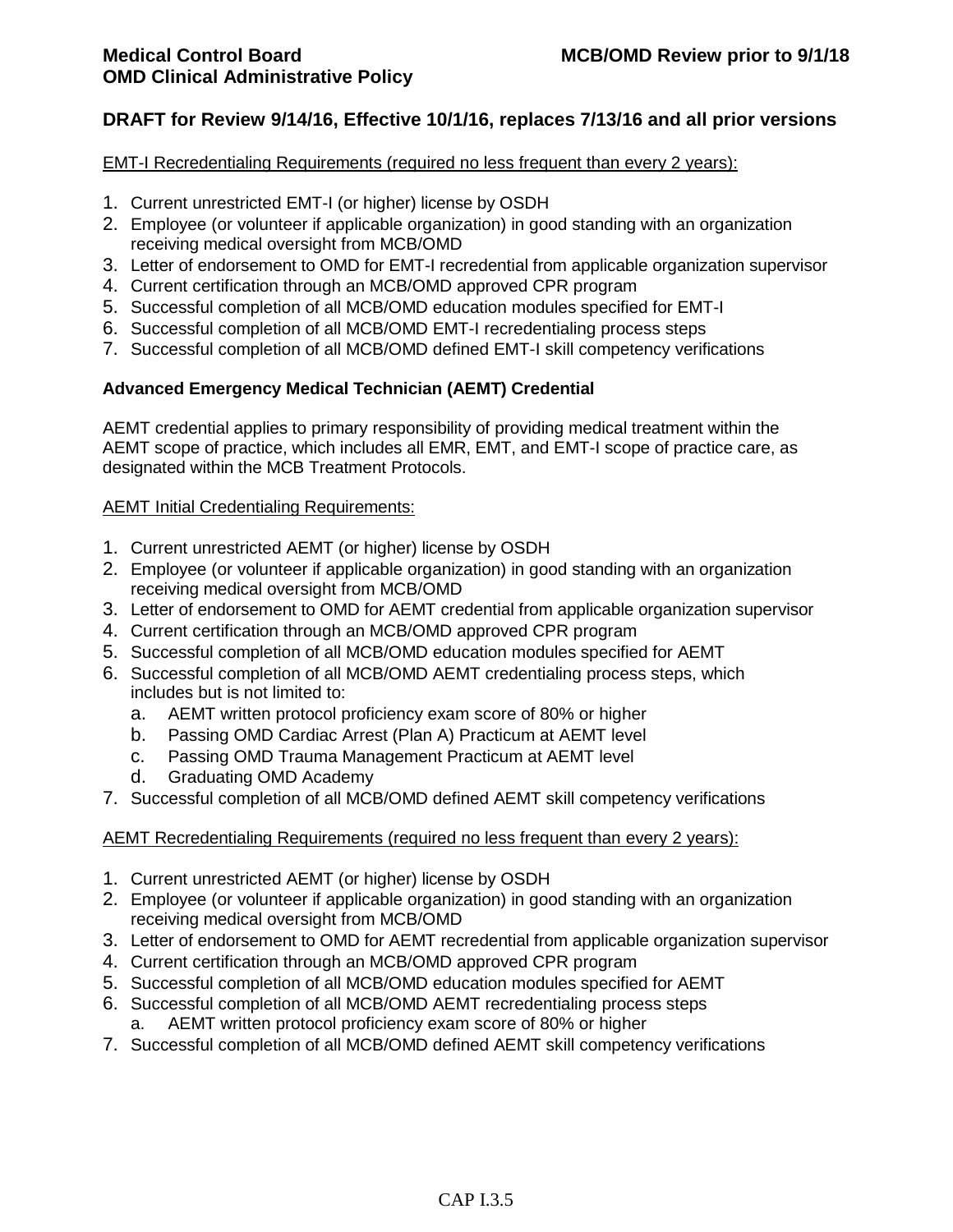### EMT-I Recredentialing Requirements (required no less frequent than every 2 years):

- 1. Current unrestricted EMT-I (or higher) license by OSDH
- 2. Employee (or volunteer if applicable organization) in good standing with an organization receiving medical oversight from MCB/OMD
- 3. Letter of endorsement to OMD for EMT-I recredential from applicable organization supervisor
- 4. Current certification through an MCB/OMD approved CPR program
- 5. Successful completion of all MCB/OMD education modules specified for EMT-I
- 6. Successful completion of all MCB/OMD EMT-I recredentialing process steps
- 7. Successful completion of all MCB/OMD defined EMT-I skill competency verifications

## **Advanced Emergency Medical Technician (AEMT) Credential**

AEMT credential applies to primary responsibility of providing medical treatment within the AEMT scope of practice, which includes all EMR, EMT, and EMT-I scope of practice care, as designated within the MCB Treatment Protocols.

## AEMT Initial Credentialing Requirements:

- 1. Current unrestricted AEMT (or higher) license by OSDH
- 2. Employee (or volunteer if applicable organization) in good standing with an organization receiving medical oversight from MCB/OMD
- 3. Letter of endorsement to OMD for AEMT credential from applicable organization supervisor
- 4. Current certification through an MCB/OMD approved CPR program
- 5. Successful completion of all MCB/OMD education modules specified for AEMT
- 6. Successful completion of all MCB/OMD AEMT credentialing process steps, which includes but is not limited to:
	- a. AEMT written protocol proficiency exam score of 80% or higher
	- b. Passing OMD Cardiac Arrest (Plan A) Practicum at AEMT level
	- c. Passing OMD Trauma Management Practicum at AEMT level
	- d. Graduating OMD Academy
- 7. Successful completion of all MCB/OMD defined AEMT skill competency verifications

## AEMT Recredentialing Requirements (required no less frequent than every 2 years):

- 1. Current unrestricted AEMT (or higher) license by OSDH
- 2. Employee (or volunteer if applicable organization) in good standing with an organization receiving medical oversight from MCB/OMD
- 3. Letter of endorsement to OMD for AEMT recredential from applicable organization supervisor
- 4. Current certification through an MCB/OMD approved CPR program
- 5. Successful completion of all MCB/OMD education modules specified for AEMT
- 6. Successful completion of all MCB/OMD AEMT recredentialing process steps a. AEMT written protocol proficiency exam score of 80% or higher
- 7. Successful completion of all MCB/OMD defined AEMT skill competency verifications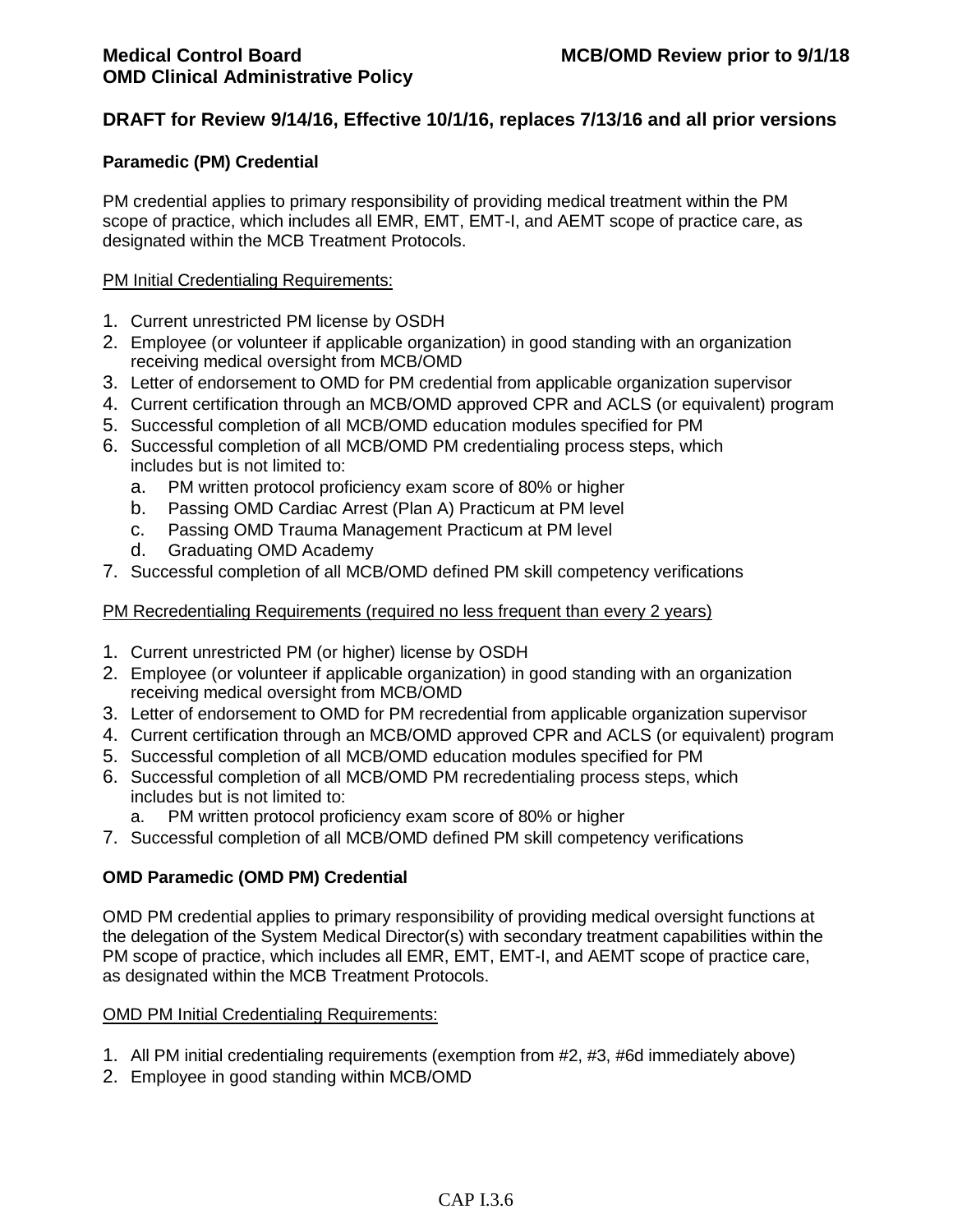### **Paramedic (PM) Credential**

PM credential applies to primary responsibility of providing medical treatment within the PM scope of practice, which includes all EMR, EMT, EMT-I, and AEMT scope of practice care, as designated within the MCB Treatment Protocols.

### PM Initial Credentialing Requirements:

- 1. Current unrestricted PM license by OSDH
- 2. Employee (or volunteer if applicable organization) in good standing with an organization receiving medical oversight from MCB/OMD
- 3. Letter of endorsement to OMD for PM credential from applicable organization supervisor
- 4. Current certification through an MCB/OMD approved CPR and ACLS (or equivalent) program
- 5. Successful completion of all MCB/OMD education modules specified for PM
- 6. Successful completion of all MCB/OMD PM credentialing process steps, which includes but is not limited to:
	- a. PM written protocol proficiency exam score of 80% or higher
	- b. Passing OMD Cardiac Arrest (Plan A) Practicum at PM level
	- c. Passing OMD Trauma Management Practicum at PM level
	- d. Graduating OMD Academy
- 7. Successful completion of all MCB/OMD defined PM skill competency verifications

### PM Recredentialing Requirements (required no less frequent than every 2 years)

- 1. Current unrestricted PM (or higher) license by OSDH
- 2. Employee (or volunteer if applicable organization) in good standing with an organization receiving medical oversight from MCB/OMD
- 3. Letter of endorsement to OMD for PM recredential from applicable organization supervisor
- 4. Current certification through an MCB/OMD approved CPR and ACLS (or equivalent) program
- 5. Successful completion of all MCB/OMD education modules specified for PM
- 6. Successful completion of all MCB/OMD PM recredentialing process steps, which includes but is not limited to:
	- a. PM written protocol proficiency exam score of 80% or higher
- 7. Successful completion of all MCB/OMD defined PM skill competency verifications

## **OMD Paramedic (OMD PM) Credential**

OMD PM credential applies to primary responsibility of providing medical oversight functions at the delegation of the System Medical Director(s) with secondary treatment capabilities within the PM scope of practice, which includes all EMR, EMT, EMT-I, and AEMT scope of practice care, as designated within the MCB Treatment Protocols.

#### OMD PM Initial Credentialing Requirements:

- 1. All PM initial credentialing requirements (exemption from #2, #3, #6d immediately above)
- 2. Employee in good standing within MCB/OMD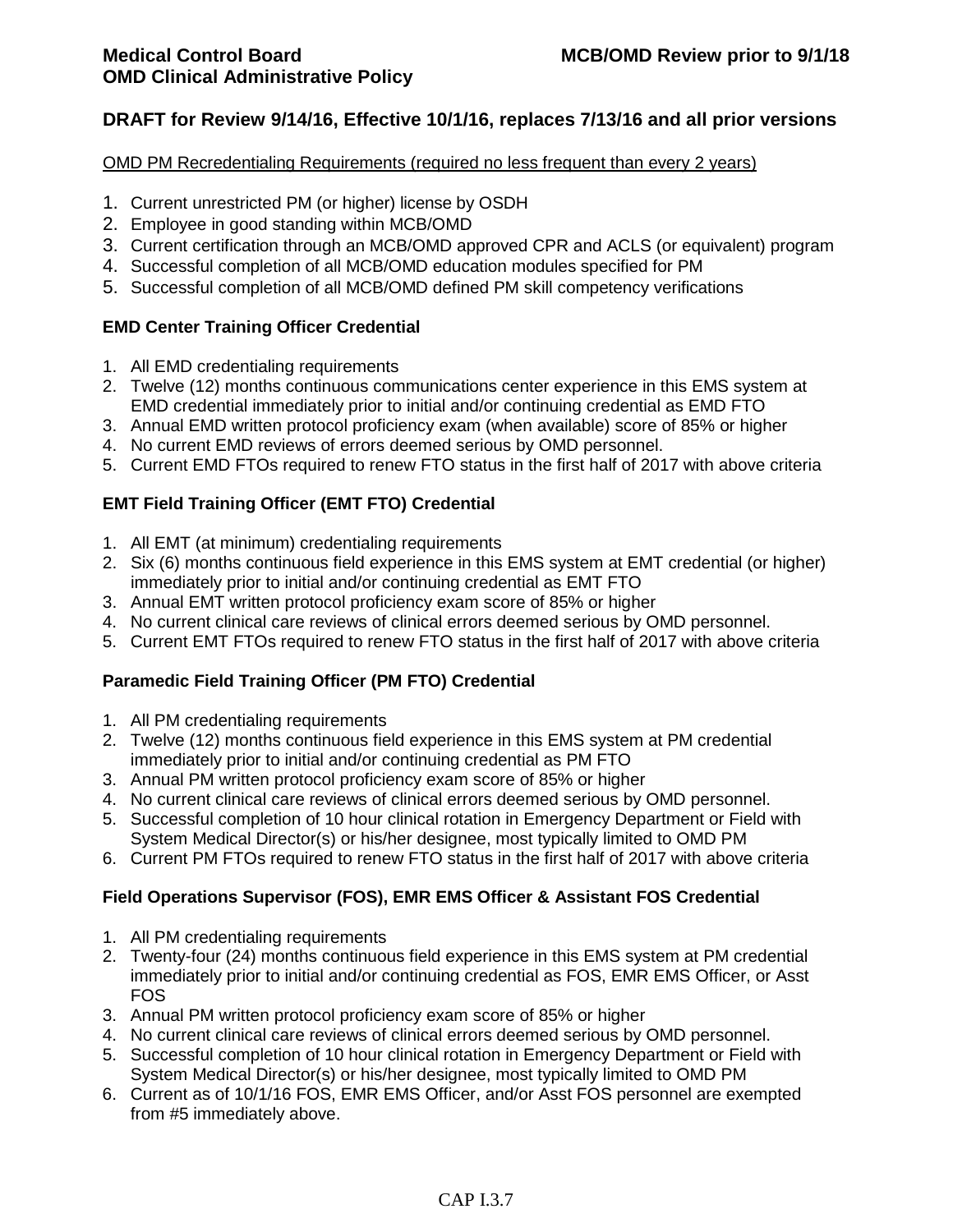### OMD PM Recredentialing Requirements (required no less frequent than every 2 years)

- 1. Current unrestricted PM (or higher) license by OSDH
- 2. Employee in good standing within MCB/OMD
- 3. Current certification through an MCB/OMD approved CPR and ACLS (or equivalent) program
- 4. Successful completion of all MCB/OMD education modules specified for PM
- 5. Successful completion of all MCB/OMD defined PM skill competency verifications

## **EMD Center Training Officer Credential**

- 1. All EMD credentialing requirements
- 2. Twelve (12) months continuous communications center experience in this EMS system at EMD credential immediately prior to initial and/or continuing credential as EMD FTO
- 3. Annual EMD written protocol proficiency exam (when available) score of 85% or higher
- 4. No current EMD reviews of errors deemed serious by OMD personnel.
- 5. Current EMD FTOs required to renew FTO status in the first half of 2017 with above criteria

## **EMT Field Training Officer (EMT FTO) Credential**

- 1. All EMT (at minimum) credentialing requirements
- 2. Six (6) months continuous field experience in this EMS system at EMT credential (or higher) immediately prior to initial and/or continuing credential as EMT FTO
- 3. Annual EMT written protocol proficiency exam score of 85% or higher
- 4. No current clinical care reviews of clinical errors deemed serious by OMD personnel.
- 5. Current EMT FTOs required to renew FTO status in the first half of 2017 with above criteria

## **Paramedic Field Training Officer (PM FTO) Credential**

- 1. All PM credentialing requirements
- 2. Twelve (12) months continuous field experience in this EMS system at PM credential immediately prior to initial and/or continuing credential as PM FTO
- 3. Annual PM written protocol proficiency exam score of 85% or higher
- 4. No current clinical care reviews of clinical errors deemed serious by OMD personnel.
- 5. Successful completion of 10 hour clinical rotation in Emergency Department or Field with System Medical Director(s) or his/her designee, most typically limited to OMD PM
- 6. Current PM FTOs required to renew FTO status in the first half of 2017 with above criteria

## **Field Operations Supervisor (FOS), EMR EMS Officer & Assistant FOS Credential**

- 1. All PM credentialing requirements
- 2. Twenty-four (24) months continuous field experience in this EMS system at PM credential immediately prior to initial and/or continuing credential as FOS, EMR EMS Officer, or Asst FOS
- 3. Annual PM written protocol proficiency exam score of 85% or higher
- 4. No current clinical care reviews of clinical errors deemed serious by OMD personnel.
- 5. Successful completion of 10 hour clinical rotation in Emergency Department or Field with System Medical Director(s) or his/her designee, most typically limited to OMD PM
- 6. Current as of 10/1/16 FOS, EMR EMS Officer, and/or Asst FOS personnel are exempted from #5 immediately above.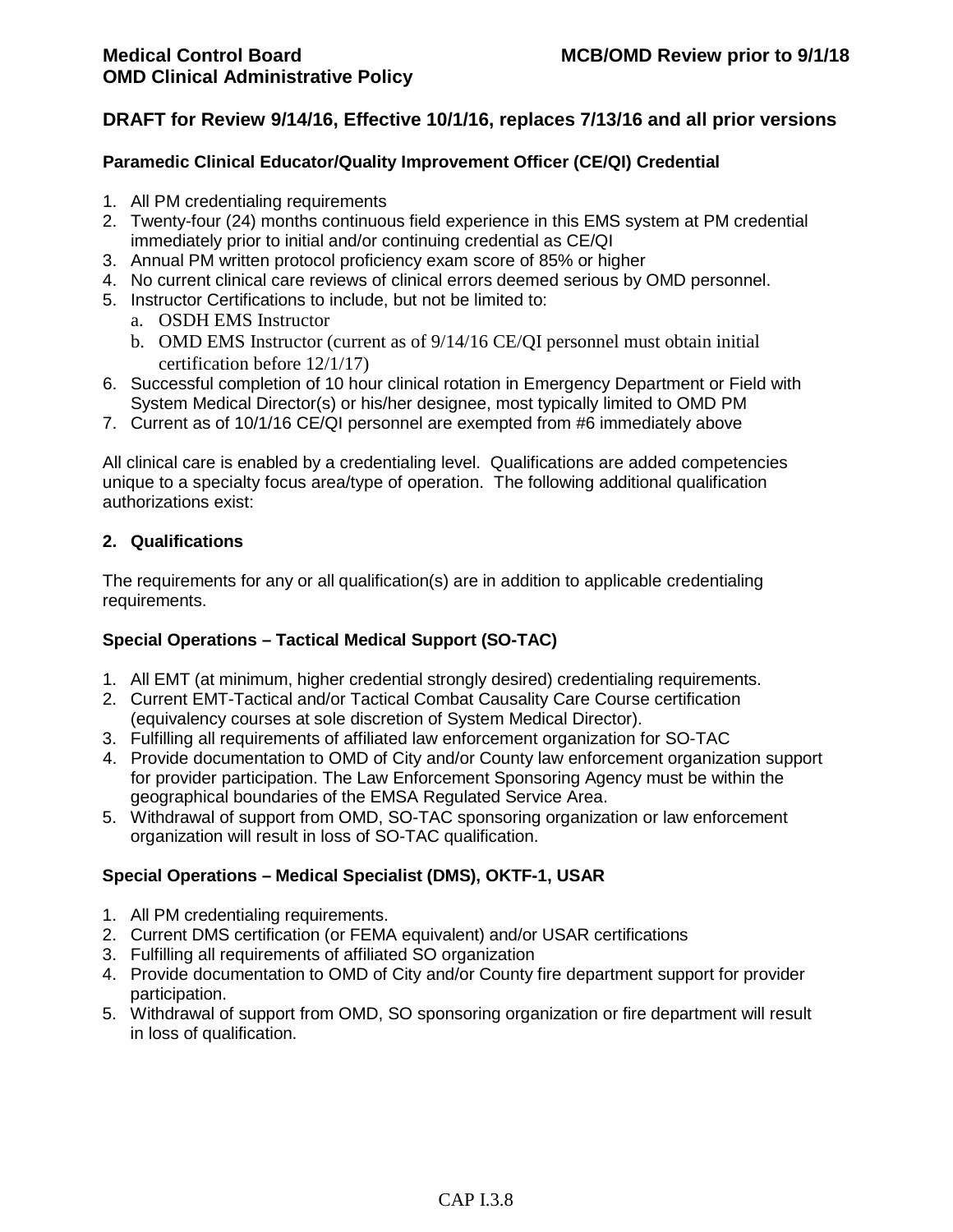### **Paramedic Clinical Educator/Quality Improvement Officer (CE/QI) Credential**

- 1. All PM credentialing requirements
- 2. Twenty-four (24) months continuous field experience in this EMS system at PM credential immediately prior to initial and/or continuing credential as CE/QI
- 3. Annual PM written protocol proficiency exam score of 85% or higher
- 4. No current clinical care reviews of clinical errors deemed serious by OMD personnel.
- 5. Instructor Certifications to include, but not be limited to:
	- a. OSDH EMS Instructor
	- b. OMD EMS Instructor (current as of 9/14/16 CE/QI personnel must obtain initial certification before 12/1/17)
- 6. Successful completion of 10 hour clinical rotation in Emergency Department or Field with System Medical Director(s) or his/her designee, most typically limited to OMD PM
- 7. Current as of 10/1/16 CE/QI personnel are exempted from #6 immediately above

All clinical care is enabled by a credentialing level. Qualifications are added competencies unique to a specialty focus area/type of operation. The following additional qualification authorizations exist:

### **2. Qualifications**

The requirements for any or all qualification(s) are in addition to applicable credentialing requirements.

## **Special Operations – Tactical Medical Support (SO-TAC)**

- 1. All EMT (at minimum, higher credential strongly desired) credentialing requirements.
- 2. Current EMT-Tactical and/or Tactical Combat Causality Care Course certification (equivalency courses at sole discretion of System Medical Director).
- 3. Fulfilling all requirements of affiliated law enforcement organization for SO-TAC
- 4. Provide documentation to OMD of City and/or County law enforcement organization support for provider participation. The Law Enforcement Sponsoring Agency must be within the geographical boundaries of the EMSA Regulated Service Area.
- 5. Withdrawal of support from OMD, SO-TAC sponsoring organization or law enforcement organization will result in loss of SO-TAC qualification.

## **Special Operations – Medical Specialist (DMS), OKTF-1, USAR**

- 1. All PM credentialing requirements.
- 2. Current DMS certification (or FEMA equivalent) and/or USAR certifications
- 3. Fulfilling all requirements of affiliated SO organization
- 4. Provide documentation to OMD of City and/or County fire department support for provider participation.
- 5. Withdrawal of support from OMD, SO sponsoring organization or fire department will result in loss of qualification.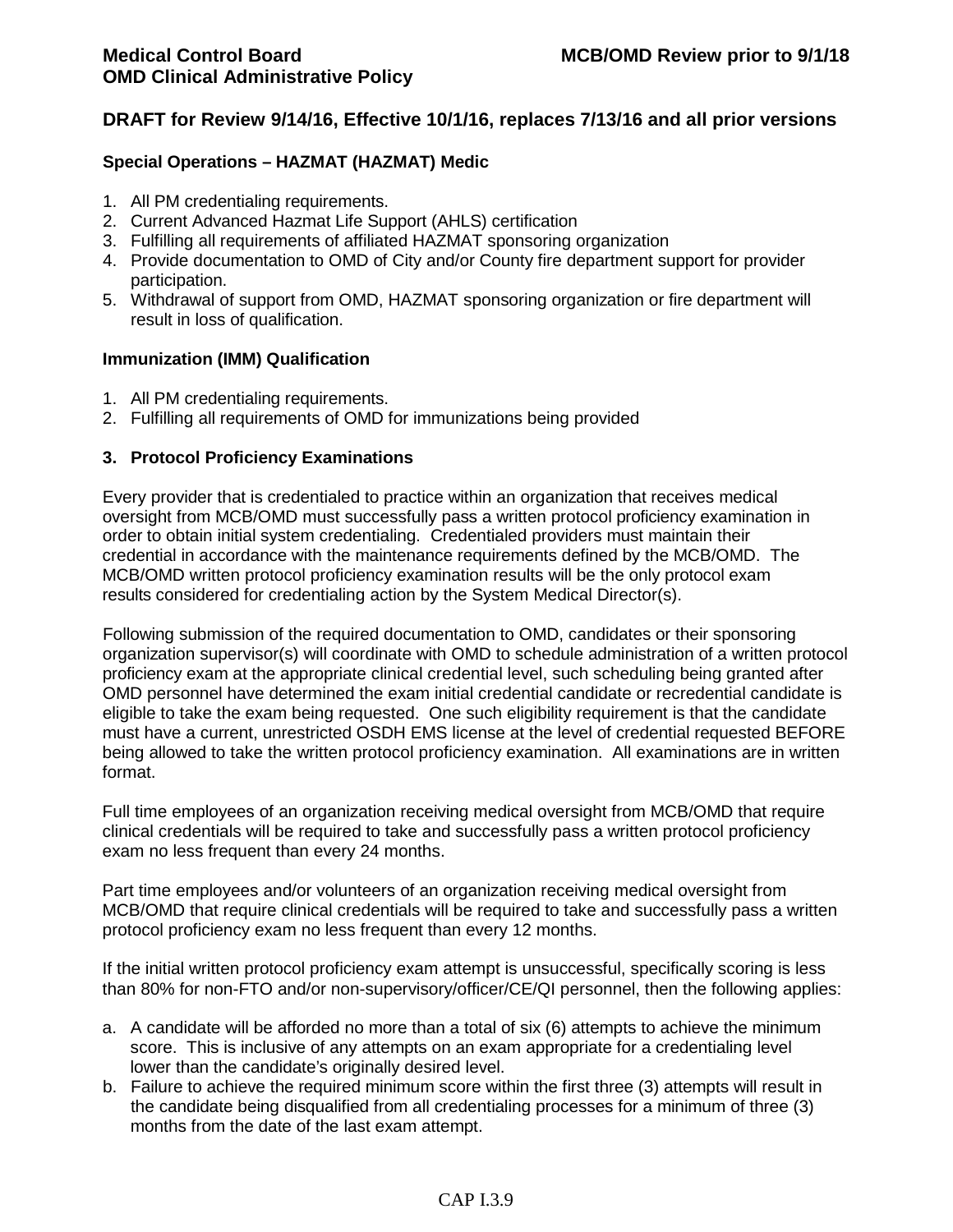### **Special Operations – HAZMAT (HAZMAT) Medic**

- 1. All PM credentialing requirements.
- 2. Current Advanced Hazmat Life Support (AHLS) certification
- 3. Fulfilling all requirements of affiliated HAZMAT sponsoring organization
- 4. Provide documentation to OMD of City and/or County fire department support for provider participation.
- 5. Withdrawal of support from OMD, HAZMAT sponsoring organization or fire department will result in loss of qualification.

#### **Immunization (IMM) Qualification**

- 1. All PM credentialing requirements.
- 2. Fulfilling all requirements of OMD for immunizations being provided

### **3. Protocol Proficiency Examinations**

Every provider that is credentialed to practice within an organization that receives medical oversight from MCB/OMD must successfully pass a written protocol proficiency examination in order to obtain initial system credentialing. Credentialed providers must maintain their credential in accordance with the maintenance requirements defined by the MCB/OMD. The MCB/OMD written protocol proficiency examination results will be the only protocol exam results considered for credentialing action by the System Medical Director(s).

Following submission of the required documentation to OMD, candidates or their sponsoring organization supervisor(s) will coordinate with OMD to schedule administration of a written protocol proficiency exam at the appropriate clinical credential level, such scheduling being granted after OMD personnel have determined the exam initial credential candidate or recredential candidate is eligible to take the exam being requested. One such eligibility requirement is that the candidate must have a current, unrestricted OSDH EMS license at the level of credential requested BEFORE being allowed to take the written protocol proficiency examination. All examinations are in written format.

Full time employees of an organization receiving medical oversight from MCB/OMD that require clinical credentials will be required to take and successfully pass a written protocol proficiency exam no less frequent than every 24 months.

Part time employees and/or volunteers of an organization receiving medical oversight from MCB/OMD that require clinical credentials will be required to take and successfully pass a written protocol proficiency exam no less frequent than every 12 months.

If the initial written protocol proficiency exam attempt is unsuccessful, specifically scoring is less than 80% for non-FTO and/or non-supervisory/officer/CE/QI personnel, then the following applies:

- a. A candidate will be afforded no more than a total of six (6) attempts to achieve the minimum score. This is inclusive of any attempts on an exam appropriate for a credentialing level lower than the candidate's originally desired level.
- b. Failure to achieve the required minimum score within the first three (3) attempts will result in the candidate being disqualified from all credentialing processes for a minimum of three (3) months from the date of the last exam attempt.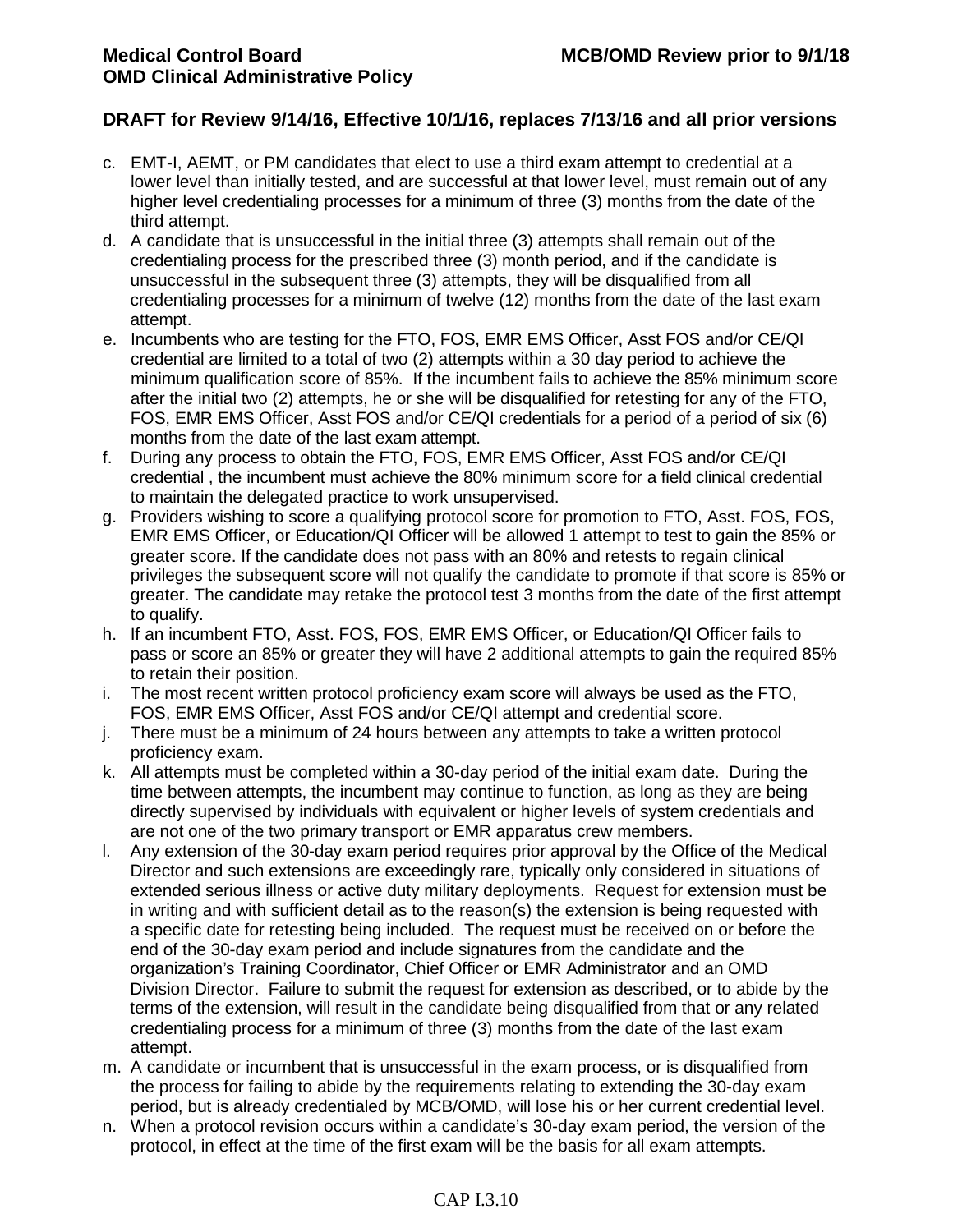- c. EMT-I, AEMT, or PM candidates that elect to use a third exam attempt to credential at a lower level than initially tested, and are successful at that lower level, must remain out of any higher level credentialing processes for a minimum of three (3) months from the date of the third attempt.
- d. A candidate that is unsuccessful in the initial three (3) attempts shall remain out of the credentialing process for the prescribed three (3) month period, and if the candidate is unsuccessful in the subsequent three (3) attempts, they will be disqualified from all credentialing processes for a minimum of twelve (12) months from the date of the last exam attempt.
- e. Incumbents who are testing for the FTO, FOS, EMR EMS Officer, Asst FOS and/or CE/QI credential are limited to a total of two (2) attempts within a 30 day period to achieve the minimum qualification score of 85%. If the incumbent fails to achieve the 85% minimum score after the initial two (2) attempts, he or she will be disqualified for retesting for any of the FTO, FOS, EMR EMS Officer, Asst FOS and/or CE/QI credentials for a period of a period of six (6) months from the date of the last exam attempt.
- f. During any process to obtain the FTO, FOS, EMR EMS Officer, Asst FOS and/or CE/QI credential , the incumbent must achieve the 80% minimum score for a field clinical credential to maintain the delegated practice to work unsupervised.
- g. Providers wishing to score a qualifying protocol score for promotion to FTO, Asst. FOS, FOS, EMR EMS Officer, or Education/QI Officer will be allowed 1 attempt to test to gain the 85% or greater score. If the candidate does not pass with an 80% and retests to regain clinical privileges the subsequent score will not qualify the candidate to promote if that score is 85% or greater. The candidate may retake the protocol test 3 months from the date of the first attempt to qualify.
- h. If an incumbent FTO, Asst. FOS, FOS, EMR EMS Officer, or Education/QI Officer fails to pass or score an 85% or greater they will have 2 additional attempts to gain the required 85% to retain their position.
- i. The most recent written protocol proficiency exam score will always be used as the FTO, FOS, EMR EMS Officer, Asst FOS and/or CE/QI attempt and credential score.
- j. There must be a minimum of 24 hours between any attempts to take a written protocol proficiency exam.
- k. All attempts must be completed within a 30-day period of the initial exam date. During the time between attempts, the incumbent may continue to function, as long as they are being directly supervised by individuals with equivalent or higher levels of system credentials and are not one of the two primary transport or EMR apparatus crew members.
- l. Any extension of the 30-day exam period requires prior approval by the Office of the Medical Director and such extensions are exceedingly rare, typically only considered in situations of extended serious illness or active duty military deployments. Request for extension must be in writing and with sufficient detail as to the reason(s) the extension is being requested with a specific date for retesting being included. The request must be received on or before the end of the 30-day exam period and include signatures from the candidate and the organization's Training Coordinator, Chief Officer or EMR Administrator and an OMD Division Director. Failure to submit the request for extension as described, or to abide by the terms of the extension, will result in the candidate being disqualified from that or any related credentialing process for a minimum of three (3) months from the date of the last exam attempt.
- m. A candidate or incumbent that is unsuccessful in the exam process, or is disqualified from the process for failing to abide by the requirements relating to extending the 30-day exam period, but is already credentialed by MCB/OMD, will lose his or her current credential level.
- n. When a protocol revision occurs within a candidate's 30-day exam period, the version of the protocol, in effect at the time of the first exam will be the basis for all exam attempts.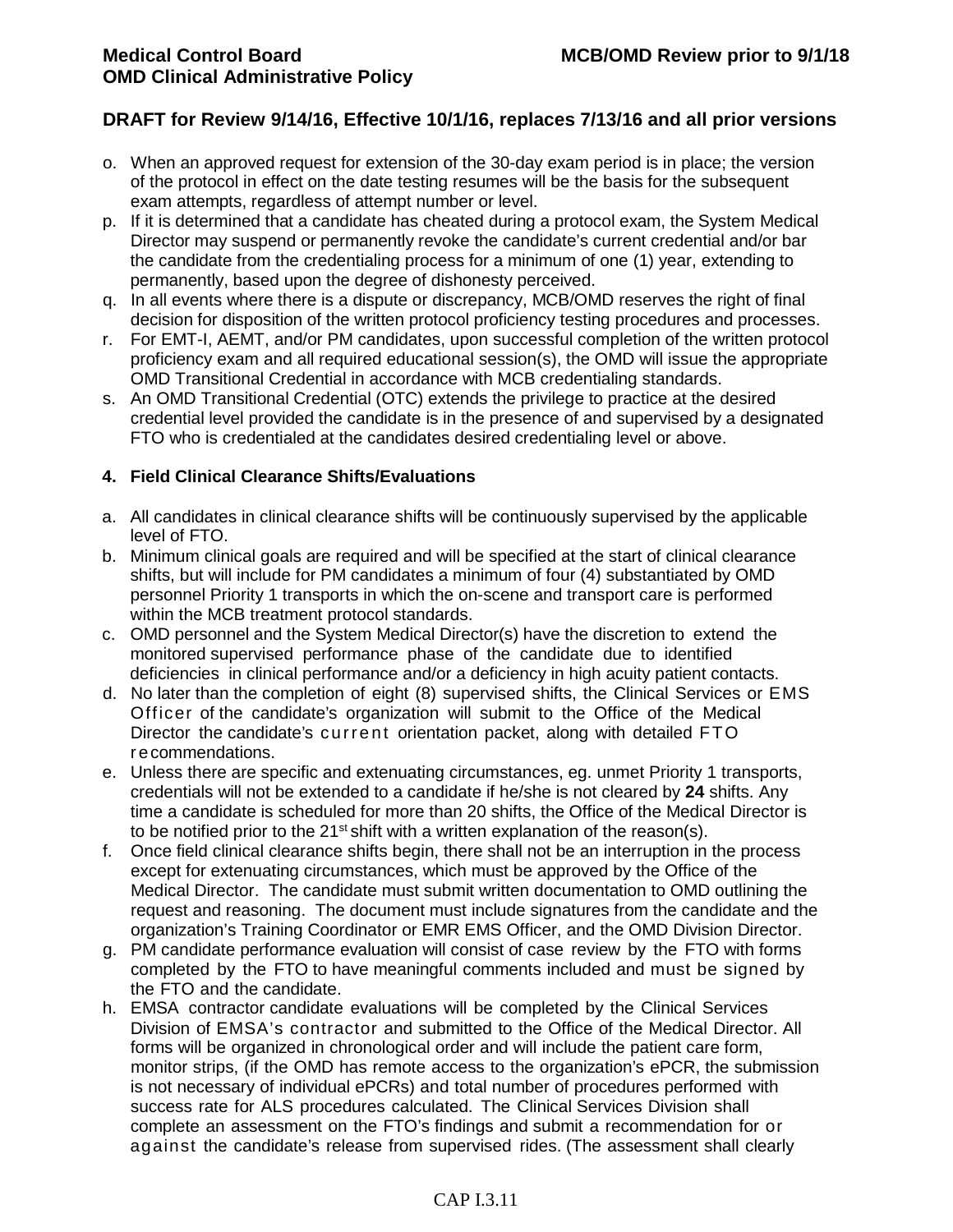- o. When an approved request for extension of the 30-day exam period is in place; the version of the protocol in effect on the date testing resumes will be the basis for the subsequent exam attempts, regardless of attempt number or level.
- p. If it is determined that a candidate has cheated during a protocol exam, the System Medical Director may suspend or permanently revoke the candidate's current credential and/or bar the candidate from the credentialing process for a minimum of one (1) year, extending to permanently, based upon the degree of dishonesty perceived.
- q. In all events where there is a dispute or discrepancy, MCB/OMD reserves the right of final decision for disposition of the written protocol proficiency testing procedures and processes.
- r. For EMT-I, AEMT, and/or PM candidates, upon successful completion of the written protocol proficiency exam and all required educational session(s), the OMD will issue the appropriate OMD Transitional Credential in accordance with MCB credentialing standards.
- s. An OMD Transitional Credential (OTC) extends the privilege to practice at the desired credential level provided the candidate is in the presence of and supervised by a designated FTO who is credentialed at the candidates desired credentialing level or above.

### **4. Field Clinical Clearance Shifts/Evaluations**

- a. All candidates in clinical clearance shifts will be continuously supervised by the applicable level of FTO.
- b. Minimum clinical goals are required and will be specified at the start of clinical clearance shifts, but will include for PM candidates a minimum of four (4) substantiated by OMD personnel Priority 1 transports in which the on-scene and transport care is performed within the MCB treatment protocol standards.
- c. OMD personnel and the System Medical Director(s) have the discretion to extend the monitored supervised performance phase of the candidate due to identified deficiencies in clinical performance and/or a deficiency in high acuity patient contacts.
- d. No later than the completion of eight (8) supervised shifts, the Clinical Services or EMS Officer of the candidate's organization will submit to the Office of the Medical Director the candidate's current orientation packet, along with detailed FTO r ecommendations.
- e. Unless there are specific and extenuating circumstances, eg. unmet Priority 1 transports, credentials will not be extended to a candidate if he/she is not cleared by **24** shifts. Any time a candidate is scheduled for more than 20 shifts, the Office of the Medical Director is to be notified prior to the  $21^{st}$  shift with a written explanation of the reason(s).
- f. Once field clinical clearance shifts begin, there shall not be an interruption in the process except for extenuating circumstances, which must be approved by the Office of the Medical Director. The candidate must submit written documentation to OMD outlining the request and reasoning. The document must include signatures from the candidate and the organization's Training Coordinator or EMR EMS Officer, and the OMD Division Director.
- g. PM candidate performance evaluation will consist of case review by the FTO with forms completed by the FTO to have meaningful comments included and must be signed by the FTO and the candidate.
- h. EMSA contractor candidate evaluations will be completed by the Clinical Services Division of EMSA's contractor and submitted to the Office of the Medical Director. All forms will be organized in chronological order and will include the patient care form, monitor strips, (if the OMD has remote access to the organization's ePCR, the submission is not necessary of individual ePCRs) and total number of procedures performed with success rate for ALS procedures calculated. The Clinical Services Division shall complete an assessment on the FTO's findings and submit a recommendation for or against the candidate's release from supervised rides. (The assessment shall clearly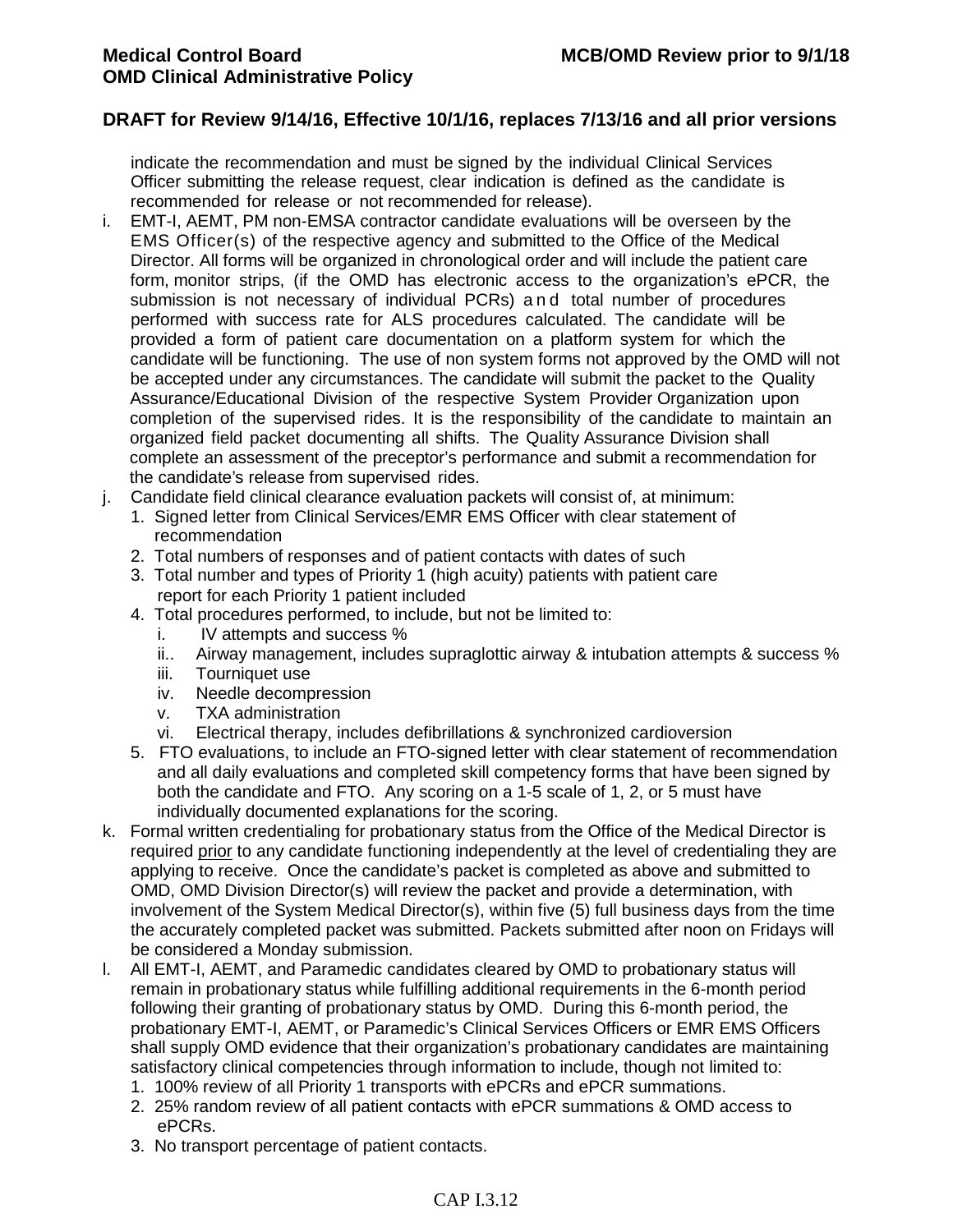indicate the recommendation and must be signed by the individual Clinical Services Officer submitting the release request, clear indication is defined as the candidate is recommended for release or not recommended for release).

- i. EMT-I, AEMT, PM non-EMSA contractor candidate evaluations will be overseen by the EMS Officer(s) of the respective agency and submitted to the Office of the Medical Director. All forms will be organized in chronological order and will include the patient care form, monitor strips, (if the OMD has electronic access to the organization's ePCR, the submission is not necessary of individual PCRs) and total number of procedures performed with success rate for ALS procedures calculated. The candidate will be provided a form of patient care documentation on a platform system for which the candidate will be functioning. The use of non system forms not approved by the OMD will not be accepted under any circumstances. The candidate will submit the packet to the Quality Assurance/Educational Division of the respective System Provider Organization upon completion of the supervised rides. It is the responsibility of the candidate to maintain an organized field packet documenting all shifts. The Quality Assurance Division shall complete an assessment of the preceptor's performance and submit a recommendation for the candidate's release from supervised rides.
- j. Candidate field clinical clearance evaluation packets will consist of, at minimum:
	- 1. Signed letter from Clinical Services/EMR EMS Officer with clear statement of recommendation
	- 2. Total numbers of responses and of patient contacts with dates of such
	- 3. Total number and types of Priority 1 (high acuity) patients with patient care report for each Priority 1 patient included
	- 4. Total procedures performed, to include, but not be limited to:
		- i. IV attempts and success %
		- ii.. Airway management, includes supraglottic airway & intubation attempts & success %
		- iii. Tourniquet use
		- iv. Needle decompression
		- v. TXA administration<br>vi. Electrical therapy. in
		- Electrical therapy, includes defibrillations & synchronized cardioversion
	- 5. FTO evaluations, to include an FTO-signed letter with clear statement of recommendation and all daily evaluations and completed skill competency forms that have been signed by both the candidate and FTO. Any scoring on a 1-5 scale of 1, 2, or 5 must have individually documented explanations for the scoring.
- k. Formal written credentialing for probationary status from the Office of the Medical Director is required prior to any candidate functioning independently at the level of credentialing they are applying to receive. Once the candidate's packet is completed as above and submitted to OMD, OMD Division Director(s) will review the packet and provide a determination, with involvement of the System Medical Director(s), within five (5) full business days from the time the accurately completed packet was submitted. Packets submitted after noon on Fridays will be considered a Monday submission.
- l. All EMT-I, AEMT, and Paramedic candidates cleared by OMD to probationary status will remain in probationary status while fulfilling additional requirements in the 6-month period following their granting of probationary status by OMD. During this 6-month period, the probationary EMT-I, AEMT, or Paramedic's Clinical Services Officers or EMR EMS Officers shall supply OMD evidence that their organization's probationary candidates are maintaining satisfactory clinical competencies through information to include, though not limited to:
	- 1. 100% review of all Priority 1 transports with ePCRs and ePCR summations.
	- 2. 25% random review of all patient contacts with ePCR summations & OMD access to ePCRs.
	- 3. No transport percentage of patient contacts.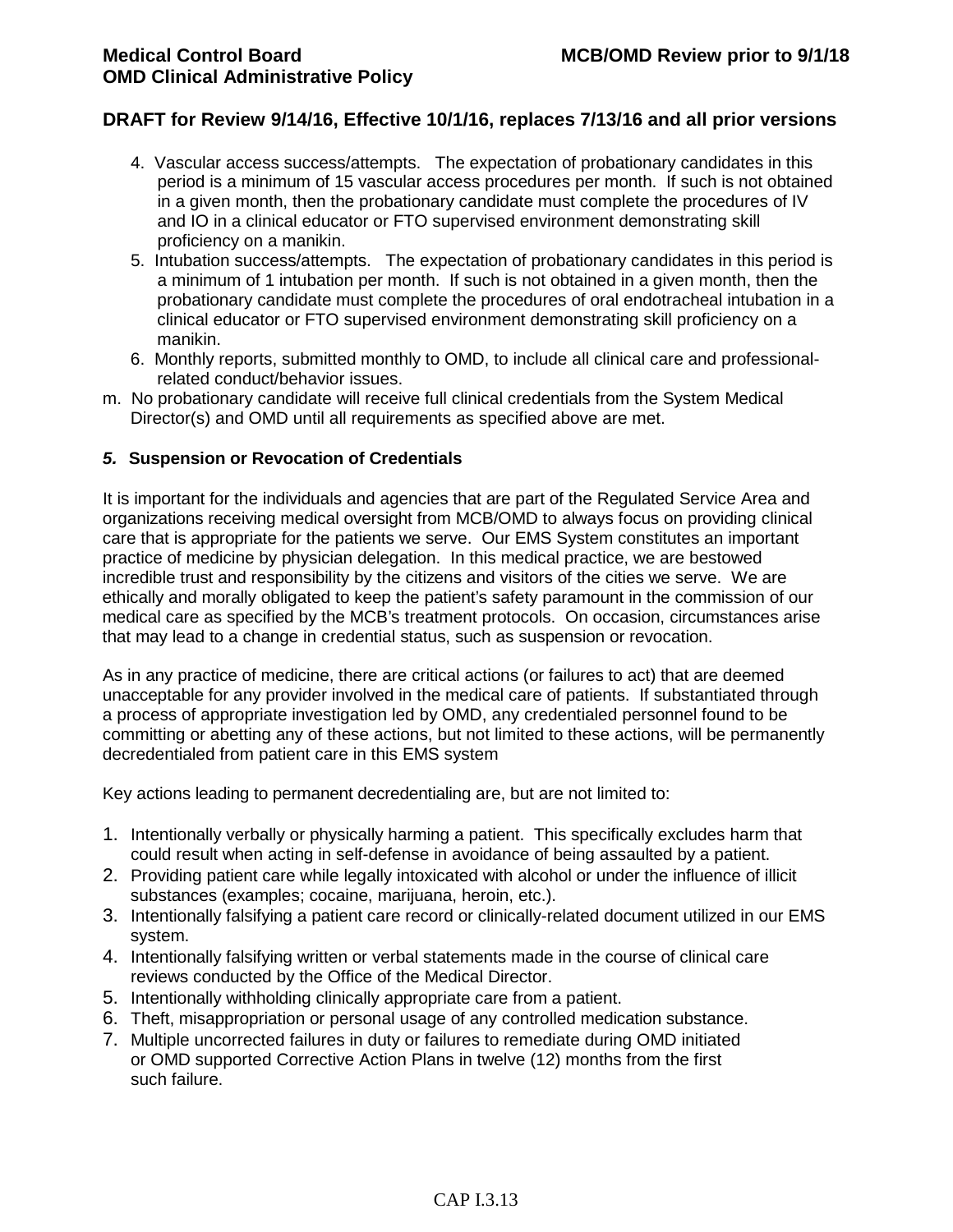- 4. Vascular access success/attempts. The expectation of probationary candidates in this period is a minimum of 15 vascular access procedures per month. If such is not obtained in a given month, then the probationary candidate must complete the procedures of IV and IO in a clinical educator or FTO supervised environment demonstrating skill proficiency on a manikin.
- 5. Intubation success/attempts. The expectation of probationary candidates in this period is a minimum of 1 intubation per month. If such is not obtained in a given month, then the probationary candidate must complete the procedures of oral endotracheal intubation in a clinical educator or FTO supervised environment demonstrating skill proficiency on a manikin.
- 6. Monthly reports, submitted monthly to OMD, to include all clinical care and professionalrelated conduct/behavior issues.
- m. No probationary candidate will receive full clinical credentials from the System Medical Director(s) and OMD until all requirements as specified above are met.

#### *5.* **Suspension or Revocation of Credentials**

It is important for the individuals and agencies that are part of the Regulated Service Area and organizations receiving medical oversight from MCB/OMD to always focus on providing clinical care that is appropriate for the patients we serve. Our EMS System constitutes an important practice of medicine by physician delegation. In this medical practice, we are bestowed incredible trust and responsibility by the citizens and visitors of the cities we serve. We are ethically and morally obligated to keep the patient's safety paramount in the commission of our medical care as specified by the MCB's treatment protocols. On occasion, circumstances arise that may lead to a change in credential status, such as suspension or revocation.

As in any practice of medicine, there are critical actions (or failures to act) that are deemed unacceptable for any provider involved in the medical care of patients. If substantiated through a process of appropriate investigation led by OMD, any credentialed personnel found to be committing or abetting any of these actions, but not limited to these actions, will be permanently decredentialed from patient care in this EMS system

Key actions leading to permanent decredentialing are, but are not limited to:

- 1. Intentionally verbally or physically harming a patient. This specifically excludes harm that could result when acting in self-defense in avoidance of being assaulted by a patient.
- 2. Providing patient care while legally intoxicated with alcohol or under the influence of illicit substances (examples; cocaine, marijuana, heroin, etc.).
- 3. Intentionally falsifying a patient care record or clinically-related document utilized in our EMS system.
- 4. Intentionally falsifying written or verbal statements made in the course of clinical care reviews conducted by the Office of the Medical Director.
- 5. Intentionally withholding clinically appropriate care from a patient.
- 6. Theft, misappropriation or personal usage of any controlled medication substance.
- 7. Multiple uncorrected failures in duty or failures to remediate during OMD initiated or OMD supported Corrective Action Plans in twelve (12) months from the first such failure.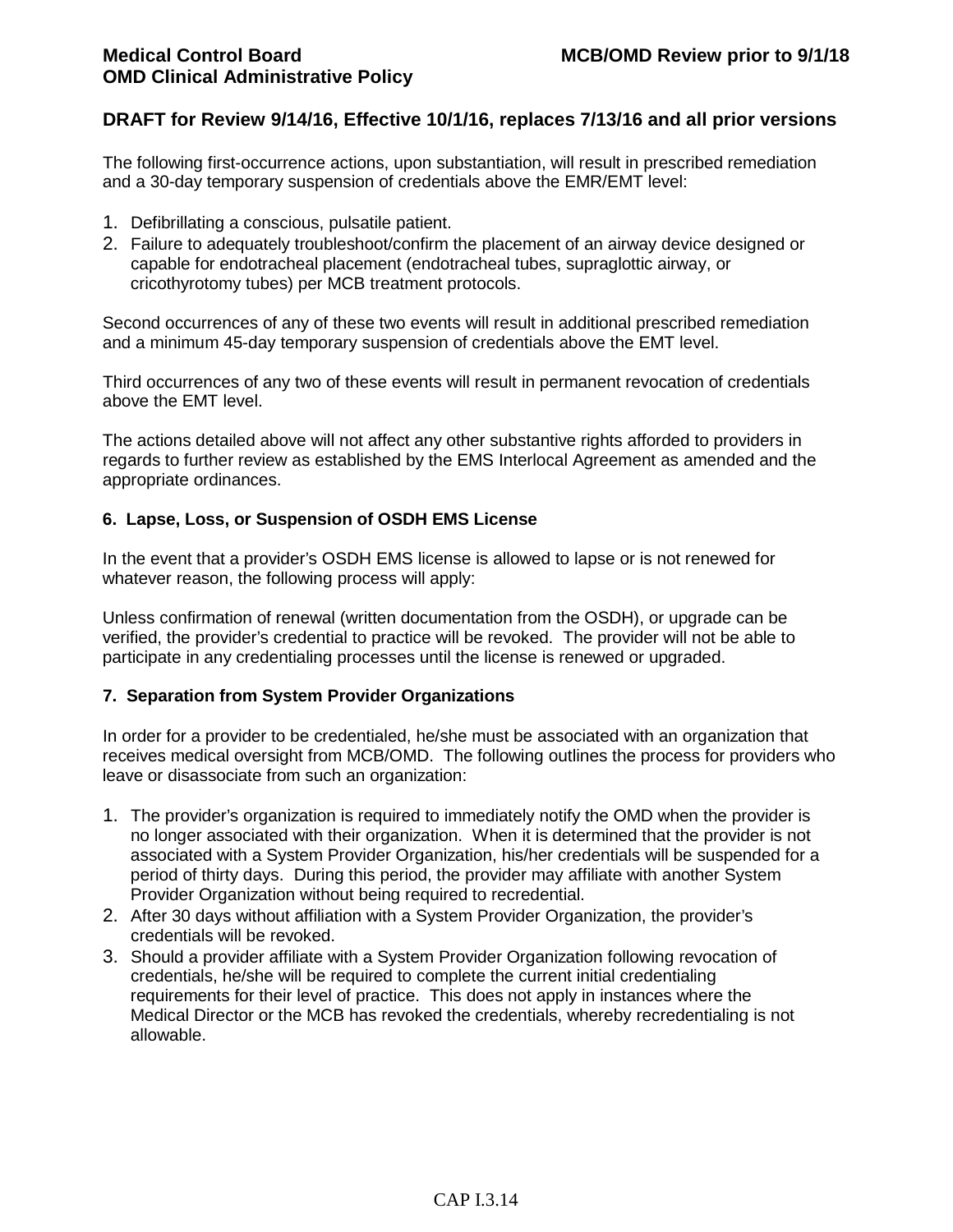The following first-occurrence actions, upon substantiation, will result in prescribed remediation and a 30-day temporary suspension of credentials above the EMR/EMT level:

- 1. Defibrillating a conscious, pulsatile patient.
- 2. Failure to adequately troubleshoot/confirm the placement of an airway device designed or capable for endotracheal placement (endotracheal tubes, supraglottic airway, or cricothyrotomy tubes) per MCB treatment protocols.

Second occurrences of any of these two events will result in additional prescribed remediation and a minimum 45-day temporary suspension of credentials above the EMT level.

Third occurrences of any two of these events will result in permanent revocation of credentials above the EMT level.

The actions detailed above will not affect any other substantive rights afforded to providers in regards to further review as established by the EMS Interlocal Agreement as amended and the appropriate ordinances.

### **6. Lapse, Loss, or Suspension of OSDH EMS License**

In the event that a provider's OSDH EMS license is allowed to lapse or is not renewed for whatever reason, the following process will apply:

Unless confirmation of renewal (written documentation from the OSDH), or upgrade can be verified, the provider's credential to practice will be revoked. The provider will not be able to participate in any credentialing processes until the license is renewed or upgraded.

## **7. Separation from System Provider Organizations**

In order for a provider to be credentialed, he/she must be associated with an organization that receives medical oversight from MCB/OMD. The following outlines the process for providers who leave or disassociate from such an organization:

- 1. The provider's organization is required to immediately notify the OMD when the provider is no longer associated with their organization. When it is determined that the provider is not associated with a System Provider Organization, his/her credentials will be suspended for a period of thirty days. During this period, the provider may affiliate with another System Provider Organization without being required to recredential.
- 2. After 30 days without affiliation with a System Provider Organization, the provider's credentials will be revoked.
- 3. Should a provider affiliate with a System Provider Organization following revocation of credentials, he/she will be required to complete the current initial credentialing requirements for their level of practice. This does not apply in instances where the Medical Director or the MCB has revoked the credentials, whereby recredentialing is not allowable.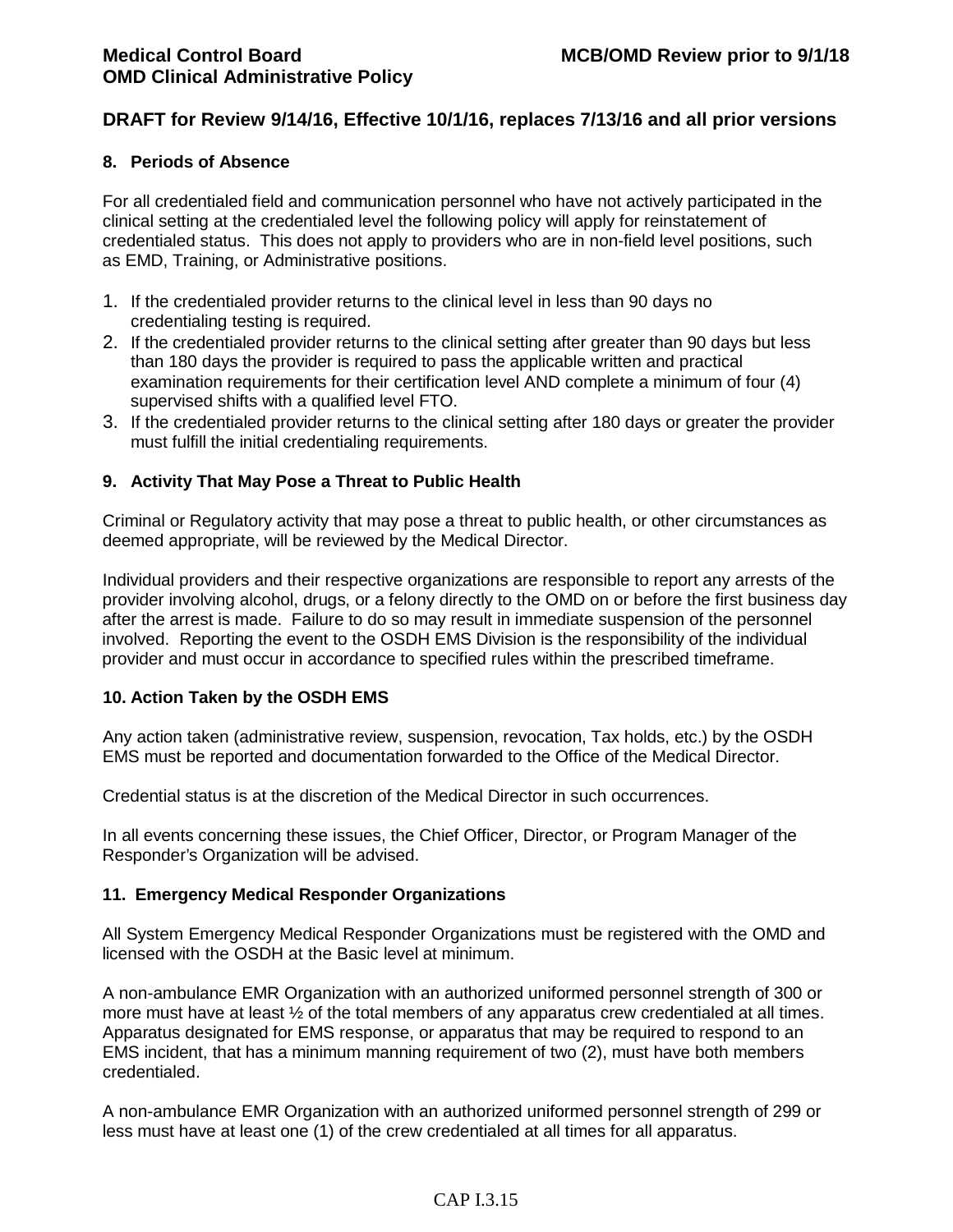### **8. Periods of Absence**

For all credentialed field and communication personnel who have not actively participated in the clinical setting at the credentialed level the following policy will apply for reinstatement of credentialed status. This does not apply to providers who are in non-field level positions, such as EMD, Training, or Administrative positions.

- 1. If the credentialed provider returns to the clinical level in less than 90 days no credentialing testing is required.
- 2. If the credentialed provider returns to the clinical setting after greater than 90 days but less than 180 days the provider is required to pass the applicable written and practical examination requirements for their certification level AND complete a minimum of four (4) supervised shifts with a qualified level FTO.
- 3. If the credentialed provider returns to the clinical setting after 180 days or greater the provider must fulfill the initial credentialing requirements.

## **9. Activity That May Pose a Threat to Public Health**

Criminal or Regulatory activity that may pose a threat to public health, or other circumstances as deemed appropriate, will be reviewed by the Medical Director.

Individual providers and their respective organizations are responsible to report any arrests of the provider involving alcohol, drugs, or a felony directly to the OMD on or before the first business day after the arrest is made. Failure to do so may result in immediate suspension of the personnel involved. Reporting the event to the OSDH EMS Division is the responsibility of the individual provider and must occur in accordance to specified rules within the prescribed timeframe.

#### **10. Action Taken by the OSDH EMS**

Any action taken (administrative review, suspension, revocation, Tax holds, etc.) by the OSDH EMS must be reported and documentation forwarded to the Office of the Medical Director.

Credential status is at the discretion of the Medical Director in such occurrences.

In all events concerning these issues, the Chief Officer, Director, or Program Manager of the Responder's Organization will be advised.

#### **11. Emergency Medical Responder Organizations**

All System Emergency Medical Responder Organizations must be registered with the OMD and licensed with the OSDH at the Basic level at minimum.

A non-ambulance EMR Organization with an authorized uniformed personnel strength of 300 or more must have at least ½ of the total members of any apparatus crew credentialed at all times. Apparatus designated for EMS response, or apparatus that may be required to respond to an EMS incident, that has a minimum manning requirement of two (2), must have both members credentialed.

A non-ambulance EMR Organization with an authorized uniformed personnel strength of 299 or less must have at least one (1) of the crew credentialed at all times for all apparatus.